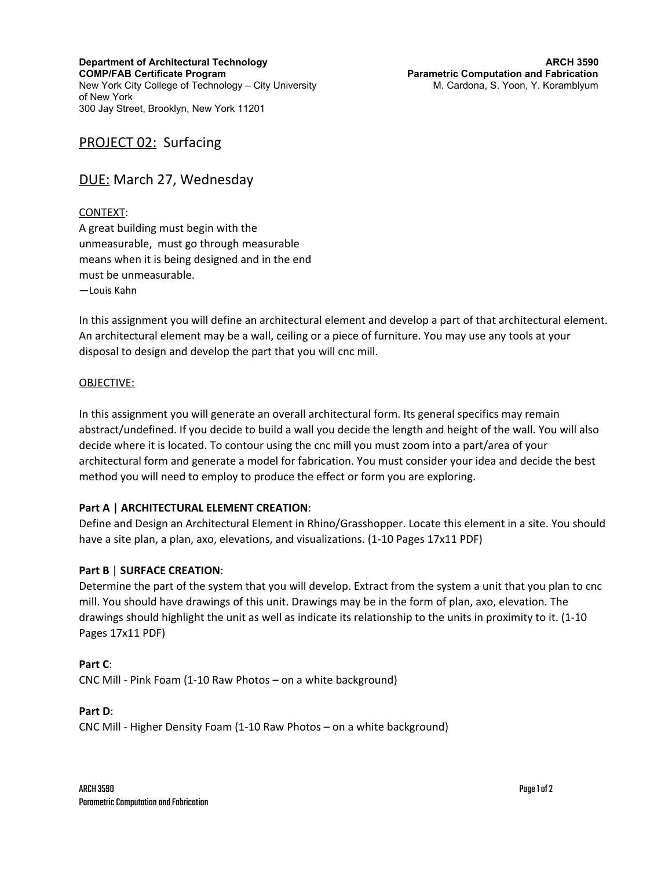**Department of Architectural Technology COMP/FAB Certificate Program** New York City College of Technology – City University of New York 300 Jay Street, Brooklyn, New York 11201

# PROJECT 02: Surfacing

# DUE: March 27, Wednesday

### CONTEXT:

A great building must begin with the unmeasurable, must go through measurable means when it is being designed and in the end must be unmeasurable. —Louis Kahn

In this assignment you will define an architectural element and develop a part of that architectural element. An architectural element may be a wall, ceiling or a piece of furniture. You may use any tools at your disposal to design and develop the part that you will cnc mill.

### OBJECTIVE:

In this assignment you will generate an overall architectural form. Its general specifics may remain abstract/undefined. If you decide to build a wall you decide the length and height of the wall. You will also decide where it is located. To contour using the cnc mill you must zoom into a part/area of your architectural form and generate a model for fabrication. You must consider your idea and decide the best method you will need to employ to produce the effect or form you are exploring.

## **Part A | ARCHITECTURAL ELEMENT CREATION**:

Define and Design an Architectural Element in Rhino/Grasshopper. Locate this element in a site. You should have a site plan, a plan, axo, elevations, and visualizations. (1-10 Pages 17x11 PDF)

## **Part B** | **SURFACE CREATION**:

Determine the part of the system that you will develop. Extract from the system a unit that you plan to cnc mill. You should have drawings of this unit. Drawings may be in the form of plan, axo, elevation. The drawings should highlight the unit as well as indicate its relationship to the units in proximity to it. (1-10 Pages 17x11 PDF)

#### **Part C**:

CNC Mill - Pink Foam (1-10 Raw Photos – on a white background)

### **Part D**:

CNC Mill - Higher Density Foam (1-10 Raw Photos – on a white background)